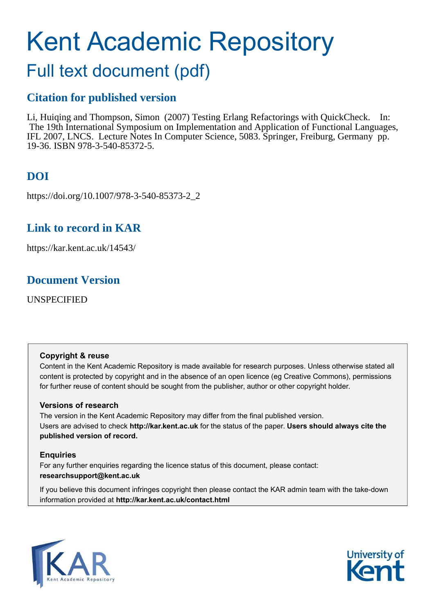# Kent Academic Repository

# Full text document (pdf)

# **Citation for published version**

Li, Huiqing and Thompson, Simon (2007) Testing Erlang Refactorings with QuickCheck. In: The 19th International Symposium on Implementation and Application of Functional Languages, IFL 2007, LNCS. Lecture Notes In Computer Science, 5083. Springer, Freiburg, Germany pp. 19-36. ISBN 978-3-540-85372-5.

# **DOI**

https://doi.org/10.1007/978-3-540-85373-2\_2

# **Link to record in KAR**

https://kar.kent.ac.uk/14543/

# **Document Version**

UNSPECIFIED

# **Copyright & reuse**

Content in the Kent Academic Repository is made available for research purposes. Unless otherwise stated all content is protected by copyright and in the absence of an open licence (eg Creative Commons), permissions for further reuse of content should be sought from the publisher, author or other copyright holder.

# **Versions of research**

The version in the Kent Academic Repository may differ from the final published version. Users are advised to check **http://kar.kent.ac.uk** for the status of the paper. **Users should always cite the published version of record.**

# **Enquiries**

For any further enquiries regarding the licence status of this document, please contact: **researchsupport@kent.ac.uk**

<span id="page-0-0"></span>If you believe this document infringes copyright then please contact the KAR admin team with the take-down information provided at **http://kar.kent.ac.uk/contact.html**



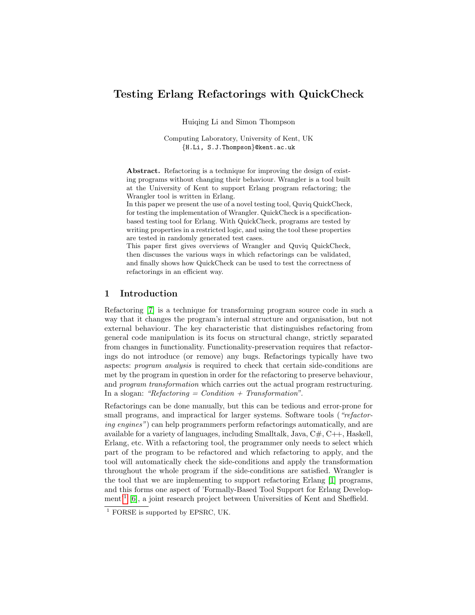# Testing Erlang Refactorings with QuickCheck

Huiqing Li and Simon Thompson

Computing Laboratory, University of Kent, UK {H.Li, S.J.Thompson}@kent.ac.uk

Abstract. Refactoring is a technique for improving the design of existing programs without changing their behaviour. Wrangler is a tool built at the University of Kent to support Erlang program refactoring; the Wrangler tool is written in Erlang.

In this paper we present the use of a novel testing tool, Quviq QuickCheck, for testing the implementation of Wrangler. QuickCheck is a specificationbased testing tool for Erlang. With QuickCheck, programs are tested by writing properties in a restricted logic, and using the tool these properties are tested in randomly generated test cases.

This paper first gives overviews of Wrangler and Quviq QuickCheck, then discusses the various ways in which refactorings can be validated, and finally shows how QuickCheck can be used to test the correctness of refactorings in an efficient way.

#### 1 Introduction

Refactoring [\[7\]](#page-17-0) is a technique for transforming program source code in such a way that it changes the program's internal structure and organisation, but not external behaviour. The key characteristic that distinguishes refactoring from general code manipulation is its focus on structural change, strictly separated from changes in functionality. Functionality-preservation requires that refactorings do not introduce (or remove) any bugs. Refactorings typically have two aspects: program analysis is required to check that certain side-conditions are met by the program in question in order for the refactoring to preserve behaviour, and program transformation which carries out the actual program restructuring. In a slogan: "Refactoring = Condition + Transformation".

Refactorings can be done manually, but this can be tedious and error-prone for small programs, and impractical for larger systems. Software tools ("refactoring engines") can help programmers perform refactorings automatically, and are available for a variety of languages, including Smalltalk, Java,  $C#, C++, H$ askell, Erlang, etc. With a refactoring tool, the programmer only needs to select which part of the program to be refactored and which refactoring to apply, and the tool will automatically check the side-conditions and apply the transformation throughout the whole program if the side-conditions are satisfied. Wrangler is the tool that we are implementing to support refactoring Erlang [\[1\]](#page-17-1) programs, and this forms one aspect of 'Formally-Based Tool Support for Erlang Develop-ment<sup>[1](#page-0-0)</sup> [\[6\]](#page-17-2), a joint research project between Universities of Kent and Sheffield.

 $1$  FORSE is supported by EPSRC, UK.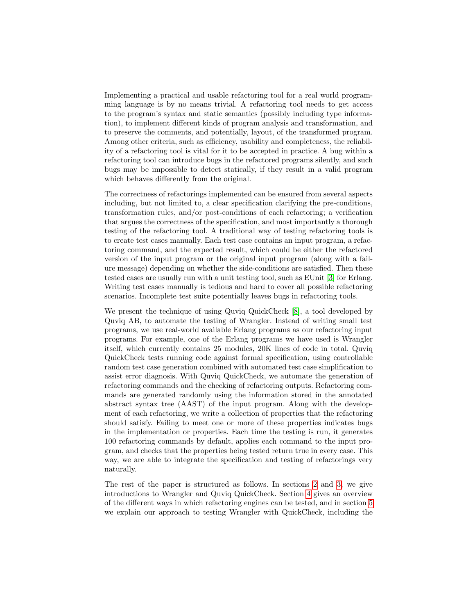Implementing a practical and usable refactoring tool for a real world programming language is by no means trivial. A refactoring tool needs to get access to the program's syntax and static semantics (possibly including type information), to implement different kinds of program analysis and transformation, and to preserve the comments, and potentially, layout, of the transformed program. Among other criteria, such as efficiency, usability and completeness, the reliability of a refactoring tool is vital for it to be accepted in practice. A bug within a refactoring tool can introduce bugs in the refactored programs silently, and such bugs may be impossible to detect statically, if they result in a valid program which behaves differently from the original.

<span id="page-2-0"></span>The correctness of refactorings implemented can be ensured from several aspects including, but not limited to, a clear specification clarifying the pre-conditions, transformation rules, and/or post-conditions of each refactoring; a verification that argues the correctness of the specification, and most importantly a thorough testing of the refactoring tool. A traditional way of testing refactoring tools is to create test cases manually. Each test case contains an input program, a refactoring command, and the expected result, which could be either the refactored version of the input program or the original input program (along with a failure message) depending on whether the side-conditions are satisfied. Then these tested cases are usually run with a unit testing tool, such as EUnit [\[3\]](#page-17-3) for Erlang. Writing test cases manually is tedious and hard to cover all possible refactoring scenarios. Incomplete test suite potentially leaves bugs in refactoring tools.

We present the technique of using Quviq QuickCheck [\[8\]](#page-17-4), a tool developed by Quviq AB, to automate the testing of Wrangler. Instead of writing small test programs, we use real-world available Erlang programs as our refactoring input programs. For example, one of the Erlang programs we have used is Wrangler itself, which currently contains 25 modules, 20K lines of code in total. Quviq QuickCheck tests running code against formal specification, using controllable random test case generation combined with automated test case simplification to assist error diagnosis. With Quviq QuickCheck, we automate the generation of refactoring commands and the checking of refactoring outputs. Refactoring commands are generated randomly using the information stored in the annotated abstract syntax tree (AAST) of the input program. Along with the development of each refactoring, we write a collection of properties that the refactoring should satisfy. Failing to meet one or more of these properties indicates bugs in the implementation or properties. Each time the testing is run, it generates 100 refactoring commands by default, applies each command to the input program, and checks that the properties being tested return true in every case. This way, we are able to integrate the specification and testing of refactorings very naturally.

The rest of the paper is structured as follows. In sections [2](#page-2-0) and [3,](#page-4-0) we give introductions to Wrangler and Quviq QuickCheck. Section [4](#page-5-0) gives an overview of the different ways in which refactoring engines can be tested, and in section [5](#page-7-0) we explain our approach to testing Wrangler with QuickCheck, including the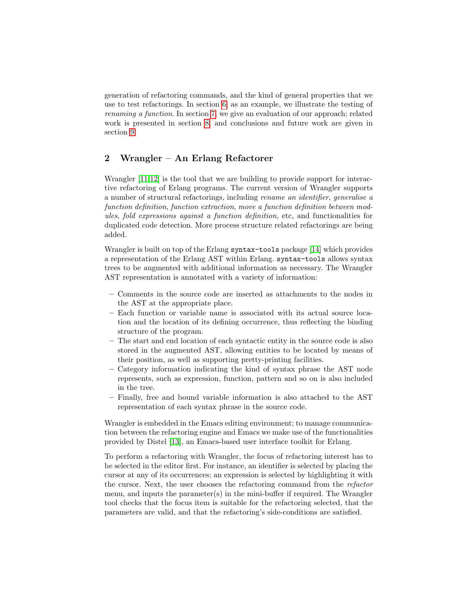generation of refactoring commands, and the kind of general properties that we use to test refactorings. In section [6,](#page-12-0) as an example, we illustrate the testing of renaming a function. In section [7,](#page-13-0) we give an evaluation of our approach; related work is presented in section [8,](#page-15-0) and conclusions and future work are given in section [9.](#page-16-0)

## 2 Wrangler – An Erlang Refactorer

Wrangler [\[11](#page-17-5)[,12\]](#page-17-6) is the tool that we are building to provide support for interactive refactoring of Erlang programs. The current version of Wrangler supports a number of structural refactorings, including rename an identifier, generalise a function definition, function extraction, move a function definition between modules, fold expressions against a function definition, etc, and functionalities for duplicated code detection. More process structure related refactorings are being added.

Wrangler is built on top of the Erlang syntax-tools package [\[14\]](#page-17-7) which provides a representation of the Erlang AST within Erlang. syntax-tools allows syntax trees to be augmented with additional information as necessary. The Wrangler AST representation is annotated with a variety of information:

- Comments in the source code are inserted as attachments to the nodes in the AST at the appropriate place.
- Each function or variable name is associated with its actual source location and the location of its defining occurrence, thus reflecting the binding structure of the program.
- The start and end location of each syntactic entity in the source code is also stored in the augmented AST, allowing entities to be located by means of their position, as well as supporting pretty-printing facilities.
- Category information indicating the kind of syntax phrase the AST node represents, such as expression, function, pattern and so on is also included in the tree.
- Finally, free and bound variable information is also attached to the AST representation of each syntax phrase in the source code.

Wrangler is embedded in the Emacs editing environment; to manage communication between the refactoring engine and Emacs we make use of the functionalities provided by Distel [\[13\]](#page-17-8), an Emacs-based user interface toolkit for Erlang.

<span id="page-3-0"></span>To perform a refactoring with Wrangler, the focus of refactoring interest has to be selected in the editor first. For instance, an identifier is selected by placing the cursor at any of its occurrences; an expression is selected by highlighting it with the cursor. Next, the user chooses the refactoring command from the refactor menu, and inputs the parameter(s) in the mini-buffer if required. The Wrangler tool checks that the focus item is suitable for the refactoring selected, that the parameters are valid, and that the refactoring's side-conditions are satisfied.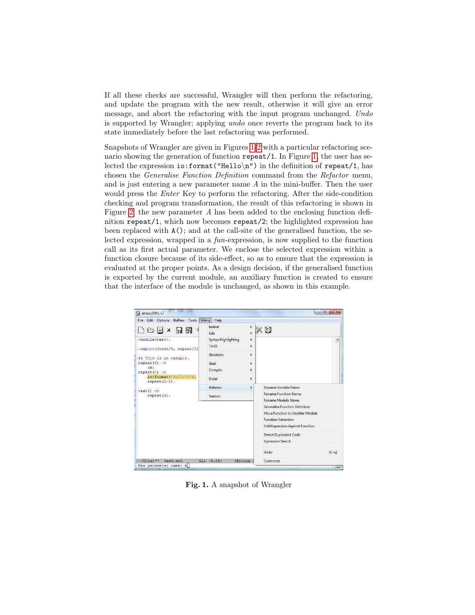If all these checks are successful, Wrangler will then perform the refactoring, and update the program with the new result, otherwise it will give an error message, and abort the refactoring with the input program unchanged. Undo is supported by Wrangler; applying undo once reverts the program back to its state immediately before the last refactoring was performed.

Snapshots of Wrangler are given in Figures [1](#page-3-0)[-2](#page-4-1) with a particular refactoring scenario showing the generation of function repeat/1. In Figure [1,](#page-3-0) the user has selected the expression io:format("Hello\n") in the definition of repeat/1, has chosen the Generalise Function Definition command from the Refactor menu, and is just entering a new parameter name  $A$  in the mini-buffer. Then the user would press the Enter Key to perform the refactoring. After the side-condition checking and program transformation, the result of this refactoring is shown in Figure [2:](#page-4-1) the new parameter A has been added to the enclosing function definition repeat/1, which now becomes repeat/2; the highlighted expression has been replaced with A(); and at the call-site of the generalised function, the selected expression, wrapped in a fun-expression, is now supplied to the function call as its first actual parameter. We enclose the selected expression within a function closure because of its side-effect, so as to ensure that the expression is evaluated at the proper points. As a design decision, if the generalised function is exported by the current module, an auxiliary function is created to ensure that the interface of the module is unchanged, as shown in this example.

<span id="page-4-1"></span><span id="page-4-0"></span>

| <b>E</b> emacs@HL-LT<br>File<br>Edit Options<br>Buffers Tools                                                                                                                                                 | Erlang<br>Help                                                                           |                                                                                                                                                                                                                                                              |                      |
|---------------------------------------------------------------------------------------------------------------------------------------------------------------------------------------------------------------|------------------------------------------------------------------------------------------|--------------------------------------------------------------------------------------------------------------------------------------------------------------------------------------------------------------------------------------------------------------|----------------------|
| H K<br>H<br>$\boldsymbol{\mathsf{x}}$<br>r<br>-module(test).<br>-export ([test/0, repeat/1]<br>%% This is an example.<br>$repeat(0)$ -><br>ok:<br>$repect(N)$ -><br>io:format("Hello\n"),<br>repeat $(N-1)$ . | Indent<br>Edit<br>Syntax Highlighting<br>TAGS<br>Skeletons<br>Shell<br>Compile<br>Distel | P,<br>Ю,<br>٠<br>Þ.<br>٠<br>٠<br>٠<br>٠                                                                                                                                                                                                                      |                      |
|                                                                                                                                                                                                               | Refactor                                                                                 | ٠                                                                                                                                                                                                                                                            | Rename Variable Name |
| $test() \rightarrow$<br>$repeat(5)$ .                                                                                                                                                                         | Version                                                                                  | <b>Rename Function Name</b><br>Rename Module Name<br><b>Generalise Function Definition</b><br>Move Function to Another Module<br><b>Function Extraction</b><br>Fold Expression Against Function<br><b>Detect Duplicated Code</b><br><b>Expression Search</b> |                      |
|                                                                                                                                                                                                               |                                                                                          | Undo                                                                                                                                                                                                                                                         | $(C-u)$              |
| $--(Unit)$ **<br>test.erl                                                                                                                                                                                     | All (9,25)<br>(Erlang )                                                                  | Customize                                                                                                                                                                                                                                                    |                      |
| New parameter name: A                                                                                                                                                                                         |                                                                                          |                                                                                                                                                                                                                                                              | z.                   |

Fig. 1. A snapshot of Wrangler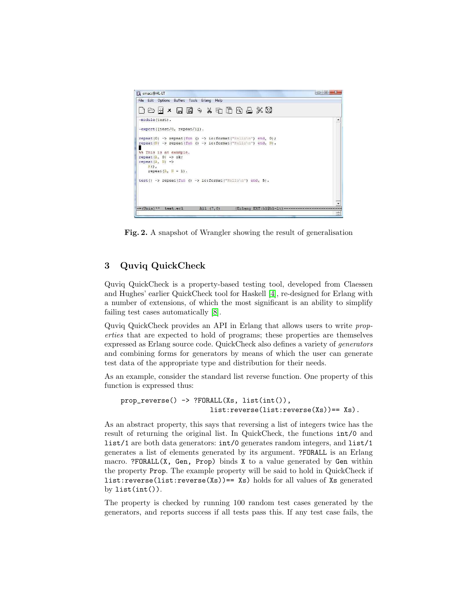

Fig. 2. A snapshot of Wrangler showing the result of generalisation

## 3 Quviq QuickCheck

Quviq QuickCheck is a property-based testing tool, developed from Claessen and Hughes' earlier QuickCheck tool for Haskell [\[4\]](#page-17-9), re-designed for Erlang with a number of extensions, of which the most significant is an ability to simplify failing test cases automatically [\[8\]](#page-17-4).

Quviq QuickCheck provides an API in Erlang that allows users to write properties that are expected to hold of programs; these properties are themselves expressed as Erlang source code. QuickCheck also defines a variety of generators and combining forms for generators by means of which the user can generate test data of the appropriate type and distribution for their needs.

As an example, consider the standard list reverse function. One property of this function is expressed thus:

```
prop_reverse() -> ?FORALL(Xs, list(int()),
                      list:reverse(list:reverse(Xs))== Xs).
```
As an abstract property, this says that reversing a list of integers twice has the result of returning the original list. In QuickCheck, the functions int/0 and list/1 are both data generators: int/0 generates random integers, and list/1 generates a list of elements generated by its argument. ?FORALL is an Erlang macro. ?FORALL(X, Gen, Prop) binds X to a value generated by Gen within the property Prop. The example property will be said to hold in QuickCheck if list:reverse(list:reverse(Xs))== Xs) holds for all values of Xs generated by  $list(int))$ .

<span id="page-5-0"></span>The property is checked by running 100 random test cases generated by the generators, and reports success if all tests pass this. If any test case fails, the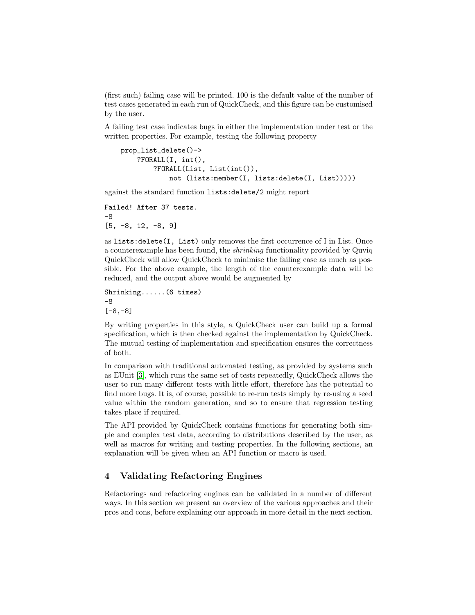(first such) failing case will be printed. 100 is the default value of the number of test cases generated in each run of QuickCheck, and this figure can be customised by the user.

A failing test case indicates bugs in either the implementation under test or the written properties. For example, testing the following property

```
prop_list_delete()->
   ?FORALL(I, int(),
        ?FORALL(List, List(int()),
            not (lists:member(I, lists:delete(I, List)))))
```
against the standard function lists:delete/2 might report

Failed! After 37 tests. -8  $[5, -8, 12, -8, 9]$ 

as lists:delete(I, List) only removes the first occurrence of I in List. Once a counterexample has been found, the shrinking functionality provided by Quviq QuickCheck will allow QuickCheck to minimise the failing case as much as possible. For the above example, the length of the counterexample data will be reduced, and the output above would be augmented by

```
Shrinking......(6 times)
-8
[-8,-8]
```
By writing properties in this style, a QuickCheck user can build up a formal specification, which is then checked against the implementation by QuickCheck. The mutual testing of implementation and specification ensures the correctness of both.

In comparison with traditional automated testing, as provided by systems such as EUnit [\[3\]](#page-17-3), which runs the same set of tests repeatedly, QuickCheck allows the user to run many different tests with little effort, therefore has the potential to find more bugs. It is, of course, possible to re-run tests simply by re-using a seed value within the random generation, and so to ensure that regression testing takes place if required.

The API provided by QuickCheck contains functions for generating both simple and complex test data, according to distributions described by the user, as well as macros for writing and testing properties. In the following sections, an explanation will be given when an API function or macro is used.

## 4 Validating Refactoring Engines

Refactorings and refactoring engines can be validated in a number of different ways. In this section we present an overview of the various approaches and their pros and cons, before explaining our approach in more detail in the next section.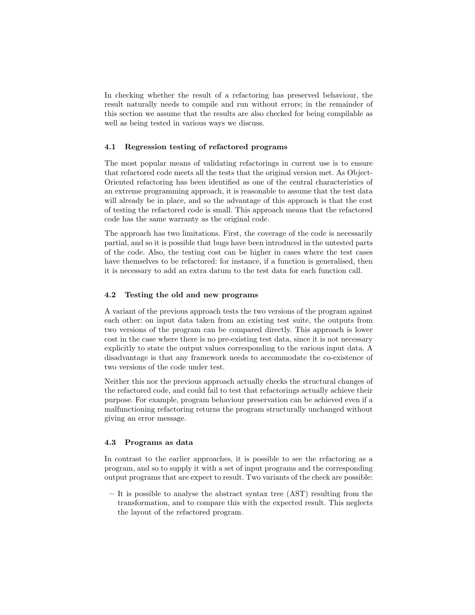In checking whether the result of a refactoring has preserved behaviour, the result naturally needs to compile and run without errors; in the remainder of this section we assume that the results are also checked for being compilable as well as being tested in various ways we discuss.

#### 4.1 Regression testing of refactored programs

The most popular means of validating refactorings in current use is to ensure that refactored code meets all the tests that the original version met. As Object-Oriented refactoring has been identified as one of the central characteristics of an extreme programming approach, it is reasonable to assume that the test data will already be in place, and so the advantage of this approach is that the cost of testing the refactored code is small. This approach means that the refactored code has the same warranty as the original code.

The approach has two limitations. First, the coverage of the code is necessarily partial, and so it is possible that bugs have been introduced in the untested parts of the code. Also, the testing cost can be higher in cases where the test cases have themselves to be refactored: for instance, if a function is generalised, then it is necessary to add an extra datum to the test data for each function call.

#### 4.2 Testing the old and new programs

A variant of the previous approach tests the two versions of the program against each other: on input data taken from an existing test suite, the outputs from two versions of the program can be compared directly. This approach is lower cost in the case where there is no pre-existing test data, since it is not necessary explicitly to state the output values corresponding to the various input data. A disadvantage is that any framework needs to accommodate the co-existence of two versions of the code under test.

<span id="page-7-0"></span>Neither this nor the previous approach actually checks the structural changes of the refactored code, and could fail to test that refactorings actually achieve their purpose. For example, program behaviour preservation can be achieved even if a malfunctioning refactoring returns the program structurally unchanged without giving an error message.

#### 4.3 Programs as data

In contrast to the earlier approaches, it is possible to see the refactoring as a program, and so to supply it with a set of input programs and the corresponding output programs that are expect to result. Two variants of the check are possible:

– It is possible to analyse the abstract syntax tree (AST) resulting from the transformation, and to compare this with the expected result. This neglects the layout of the refactored program.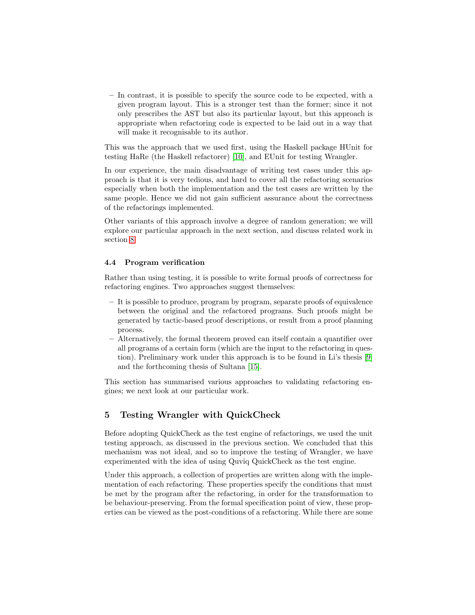– In contrast, it is possible to specify the source code to be expected, with a given program layout. This is a stronger test than the former; since it not only prescribes the AST but also its particular layout, but this approach is appropriate when refactoring code is expected to be laid out in a way that will make it recognisable to its author.

This was the approach that we used first, using the Haskell package HUnit for testing HaRe (the Haskell refactorer) [\[10\]](#page-17-10), and EUnit for testing Wrangler.

In our experience, the main disadvantage of writing test cases under this approach is that it is very tedious, and hard to cover all the refactoring scenarios especially when both the implementation and the test cases are written by the same people. Hence we did not gain sufficient assurance about the correctness of the refactorings implemented.

Other variants of this approach involve a degree of random generation; we will explore our particular approach in the next section, and discuss related work in section [8.](#page-15-0)

#### 4.4 Program verification

Rather than using testing, it is possible to write formal proofs of correctness for refactoring engines. Two approaches suggest themselves:

- It is possible to produce, program by program, separate proofs of equivalence between the original and the refactored programs. Such proofs might be generated by tactic-based proof descriptions, or result from a proof planning process.
- Alternatively, the formal theorem proved can itself contain a quantifier over all programs of a certain form (which are the input to the refactoring in question). Preliminary work under this approach is to be found in Li's thesis [\[9\]](#page-17-11) and the forthcoming thesis of Sultana [\[15\]](#page-17-12).

This section has summarised various approaches to validating refactoring engines; we next look at our particular work.

### 5 Testing Wrangler with QuickCheck

Before adopting QuickCheck as the test engine of refactorings, we used the unit testing approach, as discussed in the previous section. We concluded that this mechanism was not ideal, and so to improve the testing of Wrangler, we have experimented with the idea of using Quviq QuickCheck as the test engine.

Under this approach, a collection of properties are written along with the implementation of each refactoring. These properties specify the conditions that must be met by the program after the refactoring, in order for the transformation to be behaviour-preserving. From the formal specification point of view, these properties can be viewed as the post-conditions of a refactoring. While there are some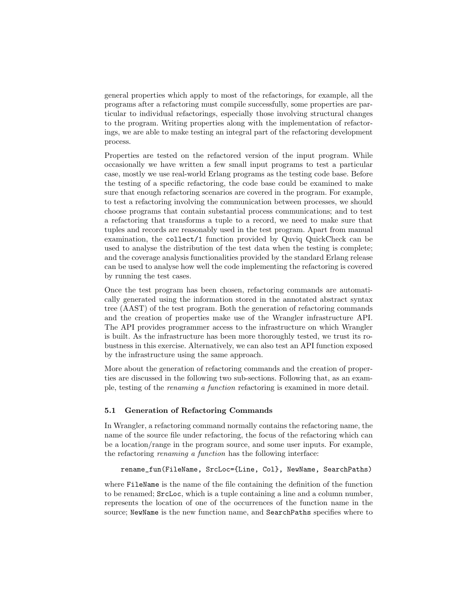general properties which apply to most of the refactorings, for example, all the programs after a refactoring must compile successfully, some properties are particular to individual refactorings, especially those involving structural changes to the program. Writing properties along with the implementation of refactorings, we are able to make testing an integral part of the refactoring development process.

Properties are tested on the refactored version of the input program. While occasionally we have written a few small input programs to test a particular case, mostly we use real-world Erlang programs as the testing code base. Before the testing of a specific refactoring, the code base could be examined to make sure that enough refactoring scenarios are covered in the program. For example, to test a refactoring involving the communication between processes, we should choose programs that contain substantial process communications; and to test a refactoring that transforms a tuple to a record, we need to make sure that tuples and records are reasonably used in the test program. Apart from manual examination, the collect/1 function provided by Quviq QuickCheck can be used to analyse the distribution of the test data when the testing is complete; and the coverage analysis functionalities provided by the standard Erlang release can be used to analyse how well the code implementing the refactoring is covered by running the test cases.

Once the test program has been chosen, refactoring commands are automatically generated using the information stored in the annotated abstract syntax tree (AAST) of the test program. Both the generation of refactoring commands and the creation of properties make use of the Wrangler infrastructure API. The API provides programmer access to the infrastructure on which Wrangler is built. As the infrastructure has been more thoroughly tested, we trust its robustness in this exercise. Alternatively, we can also test an API function exposed by the infrastructure using the same approach.

More about the generation of refactoring commands and the creation of properties are discussed in the following two sub-sections. Following that, as an example, testing of the renaming a function refactoring is examined in more detail.

#### 5.1 Generation of Refactoring Commands

In Wrangler, a refactoring command normally contains the refactoring name, the name of the source file under refactoring, the focus of the refactoring which can be a location/range in the program source, and some user inputs. For example, the refactoring renaming a function has the following interface:

```
rename_fun(FileName, SrcLoc={Line, Col}, NewName, SearchPaths)
```
where FileName is the name of the file containing the definition of the function to be renamed; SrcLoc, which is a tuple containing a line and a column number, represents the location of one of the occurrences of the function name in the source; NewName is the new function name, and SearchPaths specifies where to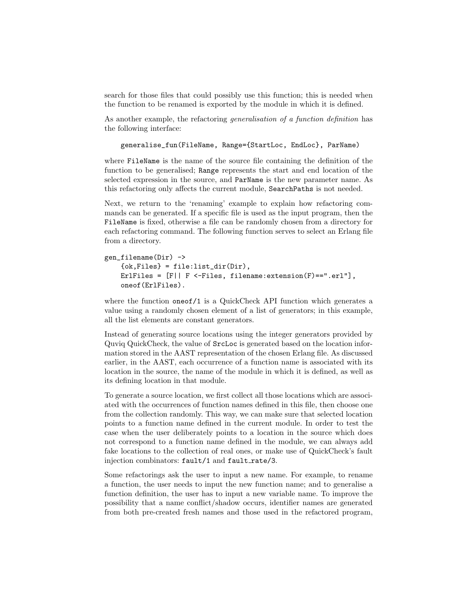search for those files that could possibly use this function; this is needed when the function to be renamed is exported by the module in which it is defined.

As another example, the refactoring generalisation of a function definition has the following interface:

```
generalise_fun(FileName, Range={StartLoc, EndLoc}, ParName)
```
where FileName is the name of the source file containing the definition of the function to be generalised; Range represents the start and end location of the selected expression in the source, and ParName is the new parameter name. As this refactoring only affects the current module, SearchPaths is not needed.

Next, we return to the 'renaming' example to explain how refactoring commands can be generated. If a specific file is used as the input program, then the FileName is fixed, otherwise a file can be randomly chosen from a directory for each refactoring command. The following function serves to select an Erlang file from a directory.

```
gen_filename(Dir) ->
    \{ok, Files\} = file:list_dir(Dir),
    ErlFiles = [F|| F < -Files, filename: extension(F) ==".erl"],
    oneof(ErlFiles).
```
where the function ones of  $\ell$  is a QuickCheck API function which generates a value using a randomly chosen element of a list of generators; in this example, all the list elements are constant generators.

Instead of generating source locations using the integer generators provided by Quviq QuickCheck, the value of SrcLoc is generated based on the location information stored in the AAST representation of the chosen Erlang file. As discussed earlier, in the AAST, each occurrence of a function name is associated with its location in the source, the name of the module in which it is defined, as well as its defining location in that module.

To generate a source location, we first collect all those locations which are associated with the occurrences of function names defined in this file, then choose one from the collection randomly. This way, we can make sure that selected location points to a function name defined in the current module. In order to test the case when the user deliberately points to a location in the source which does not correspond to a function name defined in the module, we can always add fake locations to the collection of real ones, or make use of QuickCheck's fault injection combinators: fault/1 and fault rate/3.

Some refactorings ask the user to input a new name. For example, to rename a function, the user needs to input the new function name; and to generalise a function definition, the user has to input a new variable name. To improve the possibility that a name conflict/shadow occurs, identifier names are generated from both pre-created fresh names and those used in the refactored program,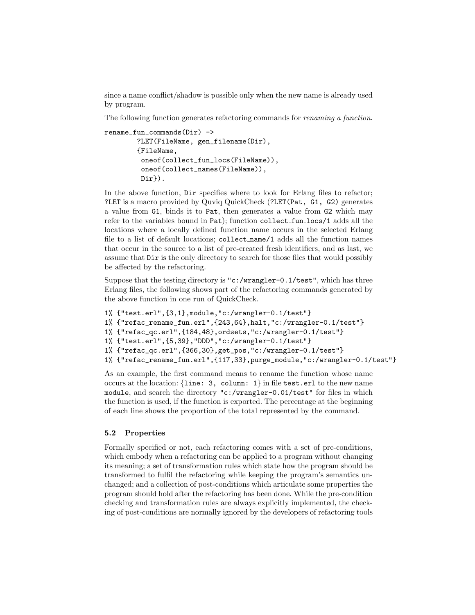since a name conflict/shadow is possible only when the new name is already used by program.

The following function generates refactoring commands for renaming a function.

```
rename_fun_commands(Dir) ->
        ?LET(FileName, gen_filename(Dir),
        {FileName,
         oneof(collect_fun_locs(FileName)),
         oneof(collect_names(FileName)),
         Dir}).
```
In the above function, Dir specifies where to look for Erlang files to refactor; ?LET is a macro provided by Quviq QuickCheck (?LET(Pat, G1, G2) generates a value from G1, binds it to Pat, then generates a value from G2 which may refer to the variables bound in Pat); function collect fun locs/1 adds all the locations where a locally defined function name occurs in the selected Erlang file to a list of default locations; collect name/1 adds all the function names that occur in the source to a list of pre-created fresh identifiers, and as last, we assume that Dir is the only directory to search for those files that would possibly be affected by the refactoring.

Suppose that the testing directory is "c:/wrangler-0.1/test", which has three Erlang files, the following shows part of the refactoring commands generated by the above function in one run of QuickCheck.

```
1% {"test.erl",{3,1},module,"c:/wrangler-0.1/test"}
```

```
1% {"refac_rename_fun.erl",{243,64},halt,"c:/wrangler-0.1/test"}
```

```
1% {"refac_qc.erl",{184,48},ordsets,"c:/wrangler-0.1/test"}
```

```
1% {"test.erl",{5,39},"DDD","c:/wrangler-0.1/test"}
```

```
1% {"refac_qc.erl",{366,30},get_pos,"c:/wrangler-0.1/test"}
```

```
1% {"refac_rename_fun.erl",{117,33},purge_module,"c:/wrangler-0.1/test"}
```
As an example, the first command means to rename the function whose name occurs at the location:  $\{linei, s, column : 1\}$  in file test.erl to the new name module, and search the directory "c:/wrangler-0.01/test" for files in which the function is used, if the function is exported. The percentage at the beginning of each line shows the proportion of the total represented by the command.

#### 5.2 Properties

Formally specified or not, each refactoring comes with a set of pre-conditions, which embody when a refactoring can be applied to a program without changing its meaning; a set of transformation rules which state how the program should be transformed to fulfil the refactoring while keeping the program's semantics unchanged; and a collection of post-conditions which articulate some properties the program should hold after the refactoring has been done. While the pre-condition checking and transformation rules are always explicitly implemented, the checking of post-conditions are normally ignored by the developers of refactoring tools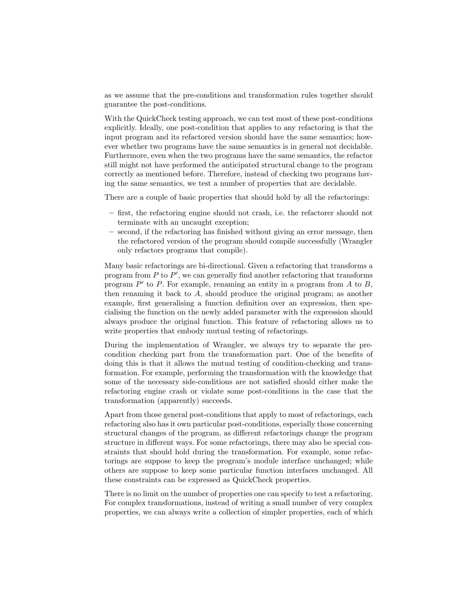as we assume that the pre-conditions and transformation rules together should guarantee the post-conditions.

<span id="page-12-0"></span>With the QuickCheck testing approach, we can test most of these post-conditions explicitly. Ideally, one post-condition that applies to any refactoring is that the input program and its refactored version should have the same semantics; however whether two programs have the same semantics is in general not decidable. Furthermore, even when the two programs have the same semantics, the refactor still might not have performed the anticipated structural change to the program correctly as mentioned before. Therefore, instead of checking two programs having the same semantics, we test a number of properties that are decidable.

There are a couple of basic properties that should hold by all the refactorings:

- first, the refactoring engine should not crash, i.e. the refactorer should not terminate with an uncaught exception;
- second, if the refactoring has finished without giving an error message, then the refactored version of the program should compile successfully (Wrangler only refactors programs that compile).

Many basic refactorings are bi-directional. Given a refactoring that transforms a program from  $P$  to  $P'$ , we can generally find another refactoring that transforms program  $P'$  to P. For example, renaming an entity in a program from A to B, then renaming it back to A, should produce the original program; as another example, first generalising a function definition over an expression, then specialising the function on the newly added parameter with the expression should always produce the original function. This feature of refactoring allows us to write properties that embody mutual testing of refactorings.

During the implementation of Wrangler, we always try to separate the precondition checking part from the transformation part. One of the benefits of doing this is that it allows the mutual testing of condition-checking and transformation. For example, performing the transformation with the knowledge that some of the necessary side-conditions are not satisfied should either make the refactoring engine crash or violate some post-conditions in the case that the transformation (apparently) succeeds.

Apart from those general post-conditions that apply to most of refactorings, each refactoring also has it own particular post-conditions, especially those concerning structural changes of the program, as different refactorings change the program structure in different ways. For some refactorings, there may also be special constraints that should hold during the transformation. For example, some refactorings are suppose to keep the program's module interface unchanged; while others are suppose to keep some particular function interfaces unchanged. All these constraints can be expressed as QuickCheck properties.

There is no limit on the number of properties one can specify to test a refactoring. For complex transformations, instead of writing a small number of very complex properties, we can always write a collection of simpler properties, each of which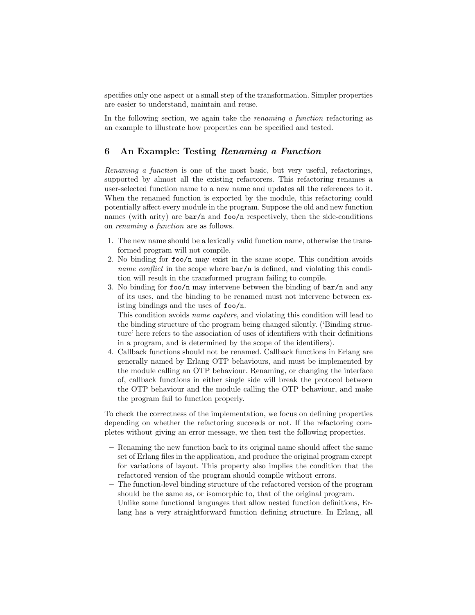specifies only one aspect or a small step of the transformation. Simpler properties are easier to understand, maintain and reuse.

In the following section, we again take the *renaming a function* refactoring as an example to illustrate how properties can be specified and tested.

#### 6 An Example: Testing Renaming a Function

Renaming a function is one of the most basic, but very useful, refactorings, supported by almost all the existing refactorers. This refactoring renames a user-selected function name to a new name and updates all the references to it. When the renamed function is exported by the module, this refactoring could potentially affect every module in the program. Suppose the old and new function names (with arity) are  $bar/n$  and  $foo/n$  respectively, then the side-conditions on renaming a function are as follows.

- 1. The new name should be a lexically valid function name, otherwise the transformed program will not compile.
- 2. No binding for foo/n may exist in the same scope. This condition avoids name conflict in the scope where  $bar/n$  is defined, and violating this condition will result in the transformed program failing to compile.
- 3. No binding for  $f\infty/n$  may intervene between the binding of  $\frac{\partial f}{\partial x}$  and any of its uses, and the binding to be renamed must not intervene between existing bindings and the uses of foo/n.

This condition avoids name capture, and violating this condition will lead to the binding structure of the program being changed silently. ('Binding structure' here refers to the association of uses of identifiers with their definitions in a program, and is determined by the scope of the identifiers).

4. Callback functions should not be renamed. Callback functions in Erlang are generally named by Erlang OTP behaviours, and must be implemented by the module calling an OTP behaviour. Renaming, or changing the interface of, callback functions in either single side will break the protocol between the OTP behaviour and the module calling the OTP behaviour, and make the program fail to function properly.

<span id="page-13-0"></span>To check the correctness of the implementation, we focus on defining properties depending on whether the refactoring succeeds or not. If the refactoring completes without giving an error message, we then test the following properties.

- Renaming the new function back to its original name should affect the same set of Erlang files in the application, and produce the original program except for variations of layout. This property also implies the condition that the refactored version of the program should compile without errors.
- The function-level binding structure of the refactored version of the program should be the same as, or isomorphic to, that of the original program. Unlike some functional languages that allow nested function definitions, Erlang has a very straightforward function defining structure. In Erlang, all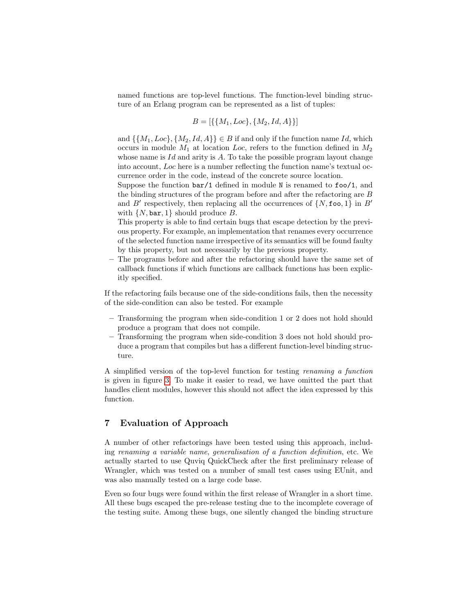named functions are top-level functions. The function-level binding structure of an Erlang program can be represented as a list of tuples:

$$
B = [{\{M_1, Loc\}, \{M_2, Id, A\} \}]
$$

and  $\{\{M_1, Loc\}, \{M_2, Id, A\}\}\in B$  if and only if the function name Id, which occurs in module  $M_1$  at location Loc, refers to the function defined in  $M_2$ whose name is  $Id$  and arity is  $A$ . To take the possible program layout change into account, Loc here is a number reflecting the function name's textual occurrence order in the code, instead of the concrete source location.

Suppose the function  $bar/1$  defined in module N is renamed to  $foo/1$ , and the binding structures of the program before and after the refactoring are B and  $B'$  respectively, then replacing all the occurrences of  $\{N, \texttt{foo}, 1\}$  in  $B'$ with  $\{N, \text{bar}, 1\}$  should produce B.

This property is able to find certain bugs that escape detection by the previous property. For example, an implementation that renames every occurrence of the selected function name irrespective of its semantics will be found faulty by this property, but not necessarily by the previous property.

– The programs before and after the refactoring should have the same set of callback functions if which functions are callback functions has been explicitly specified.

If the refactoring fails because one of the side-conditions fails, then the necessity of the side-condition can also be tested. For example

- Transforming the program when side-condition 1 or 2 does not hold should produce a program that does not compile.
- Transforming the program when side-condition 3 does not hold should produce a program that compiles but has a different function-level binding structure.

A simplified version of the top-level function for testing renaming a function is given in figure [3.](#page-14-0) To make it easier to read, we have omitted the part that handles client modules, however this should not affect the idea expressed by this function.

#### 7 Evaluation of Approach

A number of other refactorings have been tested using this approach, including renaming a variable name, generalisation of a function definition, etc. We actually started to use Quviq QuickCheck after the first preliminary release of Wrangler, which was tested on a number of small test cases using EUnit, and was also manually tested on a large code base.

<span id="page-14-0"></span>Even so four bugs were found within the first release of Wrangler in a short time. All these bugs escaped the pre-release testing due to the incomplete coverage of the testing suite. Among these bugs, one silently changed the binding structure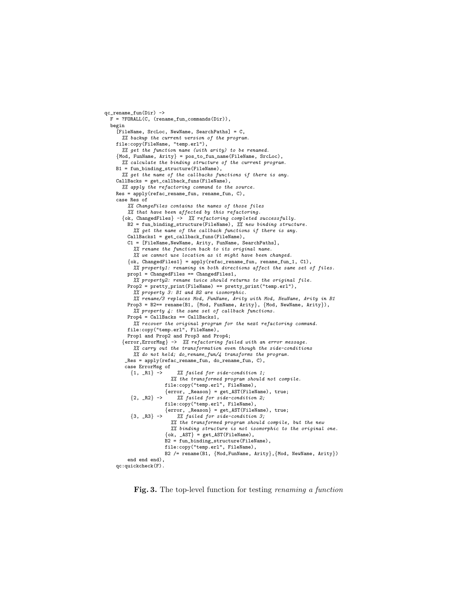```
qc_rename_fun(Dir) ->
 F = ?FORALL(C, (rename_fun_commands(Dir)),
 begin
    [FileName, SrcLoc, NewName, SearchPaths] = C,
      %% backup the current version of the program.
    file:copy(FileName, "temp.erl"),
      %% get the function name (with arity) to be renamed.
    {Mod, Funname, Arity} = pos_to_fun_name(FileName, SrcLoc),%% calculate the binding structure of the current program.
    B1 = fun_binding_structure(FileName),
      %% get the name of the callbacks functions if there is any.
    CallBacks = get_callback_funs(FileName),
      %% apply the refactoring command to the source.
    Res = apply(refac_rename_fun, rename_fun, C),
    case Res of
        %% ChangeFiles contains the names of those files
        %% that have been affected by this refactoring.
      {ok, ChangedFiles} -> %% refactoring completed successfully.
        B2 = fun_binding_structure(FileName), %% new binding structure.
          %% get the name of the callback functions if there is any.
        CallBacks1 = get_callback_funs(FileName),
        C1 = [FileName, NewName, Arity, FunName, SearchPaths],
          %% rename the function back to its original name.
          %% we cannot use location as it might have been changed.
        \{ok, ChangedFiles1\} = apply(refac_rename_fun, rename_fun_1, C1),
          %% property1: renaming in both directions affect the same set of files.
        prop1 = ChangedFiles == ChangedFiles1,
          %% property2: rename twice should returns to the original file.
        Prop2 = pretty_print(FileName) == pretty_print("temp.erl"),
          %% property 3: B1 and B2 are isomorphic.
          %% rename/3 replaces Mod, FunName, Arity with Mod, NewName, Arity in B1
        Prop3 = B2== rename(B1, {Mod, FunName, Arity}, {Mod, NewName, Arity}),
          %% property 4: the same set of callback functions.
        Prop4 = CallBacks == CallBacks1,
          %% recover the original program for the next refactoring command.
        file:copy("temp.erl", FileName),
        Prop1 and Prop2 and Prop3 and Prop4;
      {error,ErrorMsg} -> %% refactoring failed with an error message.
          %% carry out the transformation even though the side-conditions
          %% do not held; do_rename_fun/4 transforms the program.
       _Res = apply(refac_rename_fun, do_rename_fun, C),
       case ErrorMsg of<br>{1, _R1} ->
                         {1, _R1} -> %% failed for side-condition 1;
                        %% the transformed program should not compile.
                     file:copy("temp.erl", FileName),
                     {error, _Reason} = get_AST(FileName), true;
         {2, _R2} -> %% failed for side-condition 2;
                     file:copy("temp.erl", FileName),
                     {error, _Reason} = get_AST(FileName), true;
         {3, _R3} -> %% failed for side-condition 3;
                       %% the transformed program should compile, but the new
                       %% binding structure is not isomorphic to the original one.
                      {ok, _AST} = get_AST(FileName),
B2 = fun_binding_structure(FileName),
                     file:copy("temp.erl", FileName),
                     B2 /= rename(B1, {Mod, FunName, Arity}, {Mod, NewName, Arity})
        end end end),
    qc:quickcheck(F).
```
<span id="page-15-0"></span>Fig. 3. The top-level function for testing renaming a function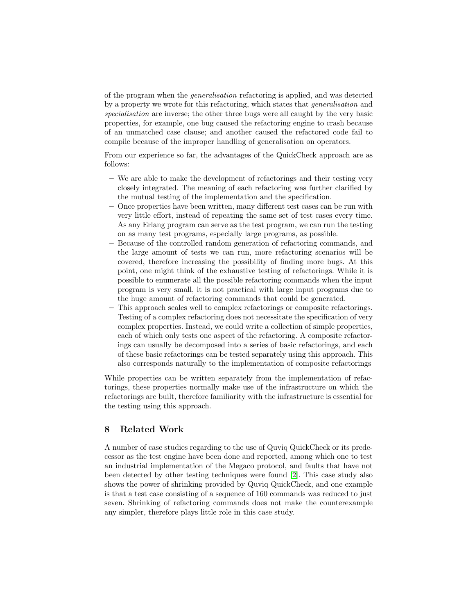of the program when the generalisation refactoring is applied, and was detected by a property we wrote for this refactoring, which states that generalisation and specialisation are inverse; the other three bugs were all caught by the very basic properties, for example, one bug caused the refactoring engine to crash because of an unmatched case clause; and another caused the refactored code fail to compile because of the improper handling of generalisation on operators.

From our experience so far, the advantages of the QuickCheck approach are as follows:

- We are able to make the development of refactorings and their testing very closely integrated. The meaning of each refactoring was further clarified by the mutual testing of the implementation and the specification.
- <span id="page-16-0"></span>– Once properties have been written, many different test cases can be run with very little effort, instead of repeating the same set of test cases every time. As any Erlang program can serve as the test program, we can run the testing on as many test programs, especially large programs, as possible.
- Because of the controlled random generation of refactoring commands, and the large amount of tests we can run, more refactoring scenarios will be covered, therefore increasing the possibility of finding more bugs. At this point, one might think of the exhaustive testing of refactorings. While it is possible to enumerate all the possible refactoring commands when the input program is very small, it is not practical with large input programs due to the huge amount of refactoring commands that could be generated.
- This approach scales well to complex refactorings or composite refactorings. Testing of a complex refactoring does not necessitate the specification of very complex properties. Instead, we could write a collection of simple properties, each of which only tests one aspect of the refactoring. A composite refactorings can usually be decomposed into a series of basic refactorings, and each of these basic refactorings can be tested separately using this approach. This also corresponds naturally to the implementation of composite refactorings

While properties can be written separately from the implementation of refactorings, these properties normally make use of the infrastructure on which the refactorings are built, therefore familiarity with the infrastructure is essential for the testing using this approach.

#### 8 Related Work

A number of case studies regarding to the use of Quviq QuickCheck or its predecessor as the test engine have been done and reported, among which one to test an industrial implementation of the Megaco protocol, and faults that have not been detected by other testing techniques were found [\[2\]](#page-17-13). This case study also shows the power of shrinking provided by Quviq QuickCheck, and one example is that a test case consisting of a sequence of 160 commands was reduced to just seven. Shrinking of refactoring commands does not make the counterexample any simpler, therefore plays little role in this case study.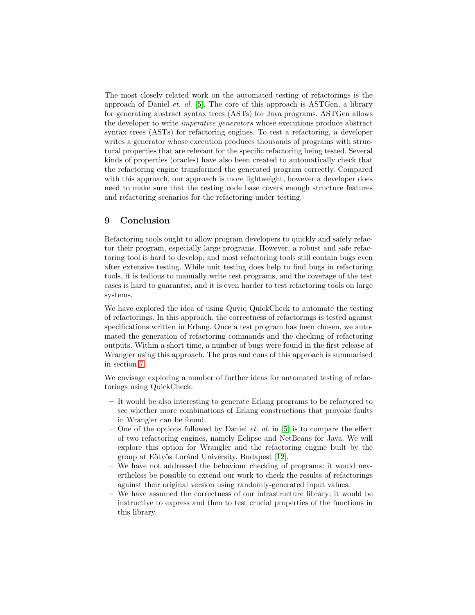<span id="page-17-1"></span>The most closely related work on the automated testing of refactorings is the approach of Daniel et. al. [\[5\]](#page-17-14). The core of this approach is ASTGen, a library for generating abstract syntax trees (ASTs) for Java programs. ASTGen allows the developer to write imperative generators whose executions produce abstract syntax trees (ASTs) for refactoring engines. To test a refactoring, a developer writes a generator whose execution produces thousands of programs with structural properties that are relevant for the specific refactoring being tested. Several kinds of properties (oracles) have also been created to automatically check that the refactoring engine transformed the generated program correctly. Compared with this approach, our approach is more lightweight, however a developer does need to make sure that the testing code base covers enough structure features and refactoring scenarios for the refactoring under testing.

#### <span id="page-17-13"></span><span id="page-17-9"></span><span id="page-17-3"></span>9 Conclusion

<span id="page-17-14"></span>Refactoring tools ought to allow program developers to quickly and safely refactor their program, especially large programs. However, a robust and safe refactoring tool is hard to develop, and most refactoring tools still contain bugs even after extensive testing. While unit testing does help to find bugs in refactoring tools, it is tedious to manually write test programs, and the coverage of the test cases is hard to guarantee, and it is even harder to test refactoring tools on large systems.

<span id="page-17-11"></span><span id="page-17-10"></span><span id="page-17-4"></span><span id="page-17-2"></span><span id="page-17-0"></span>We have explored the idea of using Quviq QuickCheck to automate the testing of refactorings. In this approach, the correctness of refactorings is tested against specifications written in Erlang. Once a test program has been chosen, we automated the generation of refactoring commands and the checking of refactoring outputs. Within a short time, a number of bugs were found in the first release of Wrangler using this approach. The pros and cons of this approach is summarised in section [7.](#page-13-0)

<span id="page-17-5"></span>We envisage exploring a number of further ideas for automated testing of refactorings using QuickCheck.

- <span id="page-17-6"></span>– It would be also interesting to generate Erlang programs to be refactored to see whether more combinations of Erlang constructions that provoke faults in Wrangler can be found.
- <span id="page-17-8"></span><span id="page-17-7"></span>– One of the options followed by Daniel *et. al.* in [\[5\]](#page-17-14) is to compare the effect of two refactoring engines, namely Eclipse and NetBeans for Java. We will explore this option for Wrangler and the refactoring engine built by the group at Eötvös Loránd University, Budapest [\[12\]](#page-17-6).
- <span id="page-17-12"></span>We have not addressed the behaviour checking of programs; it would nevertheless be possible to extend our work to check the results of refactorings against their original version using randomly-generated input values.
- We have assumed the correctness of our infrastructure library; it would be instructive to express and then to test crucial properties of the functions in this library.